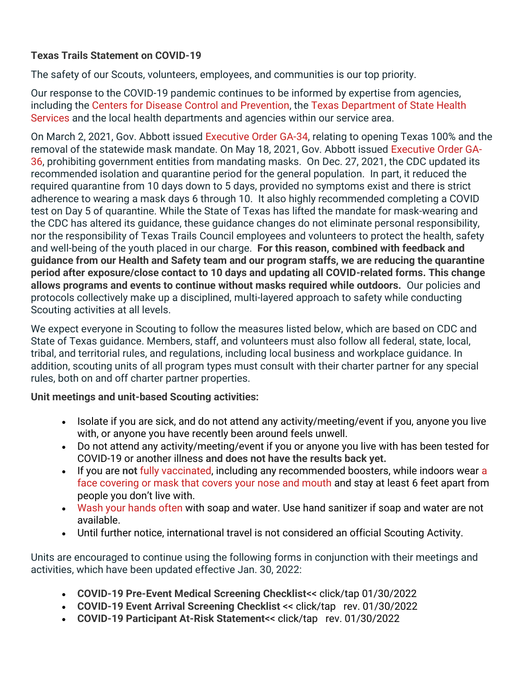## **Texas Trails Statement on COVID-19**

The safety of our Scouts, volunteers, employees, and communities is our top priority.

Our response to the COVID-19 pandemic continues to be informed by expertise from agencies, including the [Centers for Disease Control and Prevention,](https://www.cdc.gov/coronavirus/2019-nCoV/index.html) the [Texas Department of State Health](https://www.dshs.texas.gov/coronavirus/)  [Services](https://www.dshs.texas.gov/coronavirus/) and the local health departments and agencies within our service area.

On March 2, 2021, Gov. Abbott issued [Executive Order GA-34,](https://open.texas.gov/uploads/files/organization/opentexas/EO-GA-34-opening-Texas-response-to-COVID-disaster-IMAGE-03-02-2021.pdf) relating to opening Texas 100% and the removal of the statewide mask mandate. On May 18, 2021, Gov. Abbott issued [Executive Order GA-](https://gov.texas.gov/uploads/files/press/EO-GA-36_prohibition_on_mandating_face_coverings_response_to_COVID-19_disaster_IMAGE_05-18-2021.pdf)[36,](https://gov.texas.gov/uploads/files/press/EO-GA-36_prohibition_on_mandating_face_coverings_response_to_COVID-19_disaster_IMAGE_05-18-2021.pdf) prohibiting government entities from mandating masks. On Dec. 27, 2021, the CDC updated its recommended isolation and quarantine period for the general population. In part, it reduced the required quarantine from 10 days down to 5 days, provided no symptoms exist and there is strict adherence to wearing a mask days 6 through 10. It also highly recommended completing a COVID test on Day 5 of quarantine. While the State of Texas has lifted the mandate for mask-wearing and the CDC has altered its guidance, these guidance changes do not eliminate personal responsibility, nor the responsibility of Texas Trails Council employees and volunteers to protect the health, safety and well-being of the youth placed in our charge. **For this reason, combined with feedback and guidance from our Health and Safety team and our program staffs, we are reducing the quarantine period after exposure/close contact to 10 days and updating all COVID-related forms. This change allows programs and events to continue without masks required while outdoors.** Our policies and protocols collectively make up a disciplined, multi-layered approach to safety while conducting Scouting activities at all levels.

We expect everyone in Scouting to follow the measures listed below, which are based on CDC and State of Texas guidance. Members, staff, and volunteers must also follow all federal, state, local, tribal, and territorial rules, and regulations, including local business and workplace guidance. In addition, scouting units of all program types must consult with their charter partner for any special rules, both on and off charter partner properties.

**Unit meetings and unit-based Scouting activities:**

- Isolate if you are sick, and do not attend any activity/meeting/event if you, anyone you live with, or anyone you have recently been around feels unwell.
- Do not attend any activity/meeting/event if you or anyone you live with has been tested for COVID-19 or another illness **and does not have the results back yet.**
- If you are **not** [fully vaccinated,](https://www.cdc.gov/coronavirus/2019-ncov/vaccines/fully-vaccinated.html) including any recommended boosters, while indoors wear [a](https://www.cdc.gov/coronavirus/2019-ncov/prevent-getting-sick/how-to-wear-cloth-face-coverings.html)  [face covering or mask that covers your nose and mouth](https://www.cdc.gov/coronavirus/2019-ncov/prevent-getting-sick/how-to-wear-cloth-face-coverings.html) and stay at least 6 feet apart from people you don't live with.
- [Wash your hands often](https://www.cdc.gov/handwashing/when-how-handwashing.html) with soap and water. Use hand sanitizer if soap and water are not available.
- Until further notice, international travel is not considered an official Scouting Activity.

Units are encouraged to continue using the following forms in conjunction with their meetings and activities, which have been updated effective Jan. 30, 2022:

- **[COVID-19 Pre-Event Medical Screening Checklist](https://www.longhorncouncil.org/wp-content/uploads/2022/01/Pre-Event-Checklist-COVID-19-680-057_LHC_rev01032022.pdf)**<< click/tap 01/30/2022
- **[COVID-19 Event Arrival Screening Checklist](https://www.longhorncouncil.org/wp-content/uploads/2022/01/COVID-19-Camp-Arrival-Screening-Checklist-Longhorn-Councilrev01032022.pdf)** << click/tap rev. 01/30/2022
- **[COVID-19 Participant At-Risk Statement](https://www.longhorncouncil.org/wp-content/uploads/2022/01/BSA_COVID19_Camp_Participant_At_Risk_Statement_and_Medical_Screening_rev01032022.pdf)**<< click/tap rev. 01/30/2022